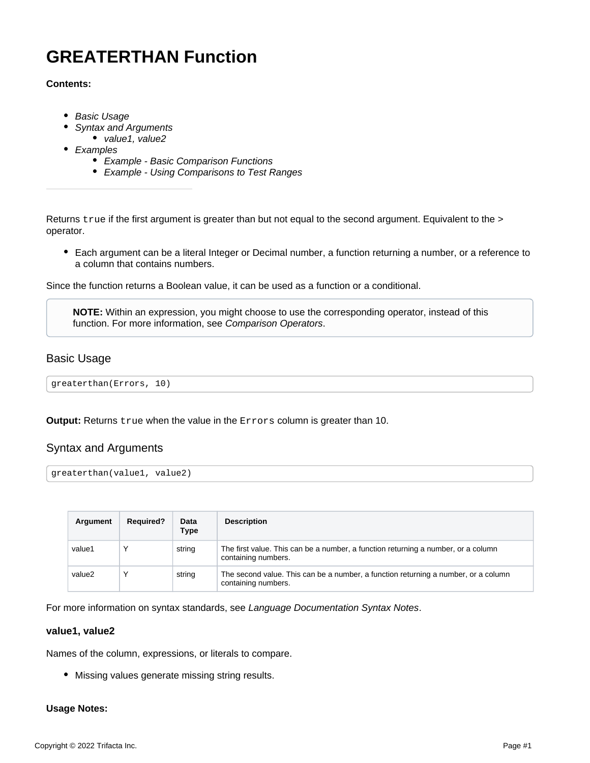# <span id="page-0-3"></span>**GREATERTHAN Function**

## **Contents:**

- [Basic Usage](#page-0-0)
- [Syntax and Arguments](#page-0-1)
- [value1, value2](#page-0-2)
- [Examples](#page-1-0)
	- [Example Basic Comparison Functions](#page-1-1)
	- [Example Using Comparisons to Test Ranges](#page-3-0)

Returns true if the first argument is greater than but not equal to the second argument. Equivalent to the > operator.

Each argument can be a literal Integer or Decimal number, a function returning a number, or a reference to a column that contains numbers.

Since the function returns a Boolean value, it can be used as a function or a conditional.

**NOTE:** Within an expression, you might choose to use the corresponding operator, instead of this function. For more information, see [Comparison Operators](https://docs.trifacta.com/display/r068/Comparison+Operators).

# <span id="page-0-0"></span>Basic Usage

greaterthan(Errors, 10)

**Output:** Returns true when the value in the Errors column is greater than 10.

# <span id="page-0-1"></span>Syntax and Arguments

greaterthan(value1, value2)

| Argument | <b>Required?</b> | Data<br>Type | <b>Description</b>                                                                                        |
|----------|------------------|--------------|-----------------------------------------------------------------------------------------------------------|
| value1   |                  | string       | The first value. This can be a number, a function returning a number, or a column<br>containing numbers.  |
| value2   |                  | string       | The second value. This can be a number, a function returning a number, or a column<br>containing numbers. |

For more information on syntax standards, see [Language Documentation Syntax Notes](https://docs.trifacta.com/display/r068/Language+Documentation+Syntax+Notes).

#### <span id="page-0-2"></span>**value1, value2**

Names of the column, expressions, or literals to compare.

Missing values generate missing string results.

#### **Usage Notes:**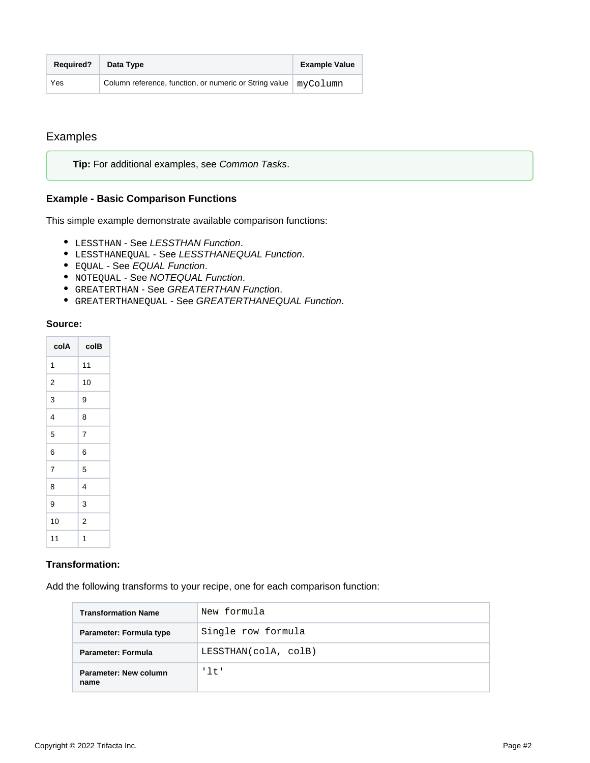| <b>Required?</b> | Data Type                                                              | <b>Example Value</b> |
|------------------|------------------------------------------------------------------------|----------------------|
| Yes              | Column reference, function, or numeric or String value $\mid$ myColumn |                      |

# <span id="page-1-0"></span>Examples

**Tip:** For additional examples, see [Common Tasks](https://docs.trifacta.com/display/r068/Common+Tasks).

## <span id="page-1-1"></span>**Example - Basic Comparison Functions**

This simple example demonstrate available comparison functions:

- LESSTHAN See [LESSTHAN Function](https://docs.trifacta.com/display/r068/LESSTHAN+Function).
- $\bullet$  LESSTHANEQUAL See [LESSTHANEQUAL Function](https://docs.trifacta.com/display/r068/LESSTHANEQUAL+Function).
- EQUAL See [EQUAL Function](https://docs.trifacta.com/display/r068/EQUAL+Function).
- NOTEQUAL See [NOTEQUAL Function](https://docs.trifacta.com/display/r068/NOTEQUAL+Function).
- GREATERTHAN See [GREATERTHAN Function](#page-0-3).
- GREATERTHANEQUAL See [GREATERTHANEQUAL Function](https://docs.trifacta.com/display/r068/GREATERTHANEQUAL+Function).

#### **Source:**

| colA | colB           |  |  |
|------|----------------|--|--|
| 1    | 11             |  |  |
| 2    | 10             |  |  |
| 3    | 9              |  |  |
| 4    | 8              |  |  |
| 5    | 7              |  |  |
| 6    | 6              |  |  |
| 7    | 5              |  |  |
| 8    | 4              |  |  |
| 9    | 3              |  |  |
| 10   | $\overline{2}$ |  |  |
| 11   | 1              |  |  |

#### **Transformation:**

Add the following transforms to your recipe, one for each comparison function:

| <b>Transformation Name</b>    | New formula          |  |  |
|-------------------------------|----------------------|--|--|
| Parameter: Formula type       | Single row formula   |  |  |
| Parameter: Formula            | LESSTHAN(colA, colB) |  |  |
| Parameter: New column<br>name | '1t'                 |  |  |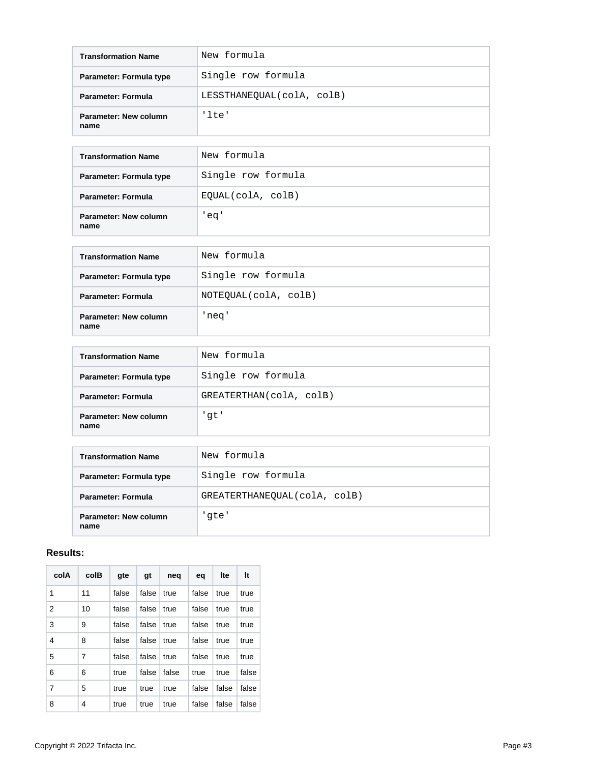| <b>Transformation Name</b>    | New formula               |  |  |
|-------------------------------|---------------------------|--|--|
| Parameter: Formula type       | Single row formula        |  |  |
| <b>Parameter: Formula</b>     | LESSTHANEQUAL(colA, colB) |  |  |
| Parameter: New column<br>name | 'lte'                     |  |  |

| <b>Transformation Name</b>    | New formula        |  |  |
|-------------------------------|--------------------|--|--|
| Parameter: Formula type       | Single row formula |  |  |
| <b>Parameter: Formula</b>     | EQUAL(colA, colB)  |  |  |
| Parameter: New column<br>name | eq'                |  |  |

| <b>Transformation Name</b>    | New formula          |  |  |
|-------------------------------|----------------------|--|--|
| Parameter: Formula type       | Single row formula   |  |  |
| Parameter: Formula            | NOTEQUAL(colA, colB) |  |  |
| Parameter: New column<br>name | 'neq'                |  |  |

| <b>Transformation Name</b>    | New formula             |
|-------------------------------|-------------------------|
| Parameter: Formula type       | Single row formula      |
| Parameter: Formula            | GREATERTHAN(colA, colB) |
| Parameter: New column<br>name | 'qt'                    |

| <b>Transformation Name</b>    | New formula                  |
|-------------------------------|------------------------------|
| Parameter: Formula type       | Single row formula           |
| <b>Parameter: Formula</b>     | GREATERTHANEQUAL(colA, colB) |
| Parameter: New column<br>name | 'qte'                        |

# **Results:**

| colA | colB | qte   | gt    | neg   | eq    | Ite   | It    |
|------|------|-------|-------|-------|-------|-------|-------|
| 1    | 11   | false | false | true  | false | true  | true  |
| 2    | 10   | false | false | true  | false | true  | true  |
| 3    | 9    | false | false | true  | false | true  | true  |
| 4    | 8    | false | false | true  | false | true  | true  |
| 5    | 7    | false | false | true  | false | true  | true  |
| 6    | 6    | true  | false | false | true  | true  | false |
| 7    | 5    | true  | true  | true  | false | false | false |
| 8    | 4    | true  | true  | true  | false | false | false |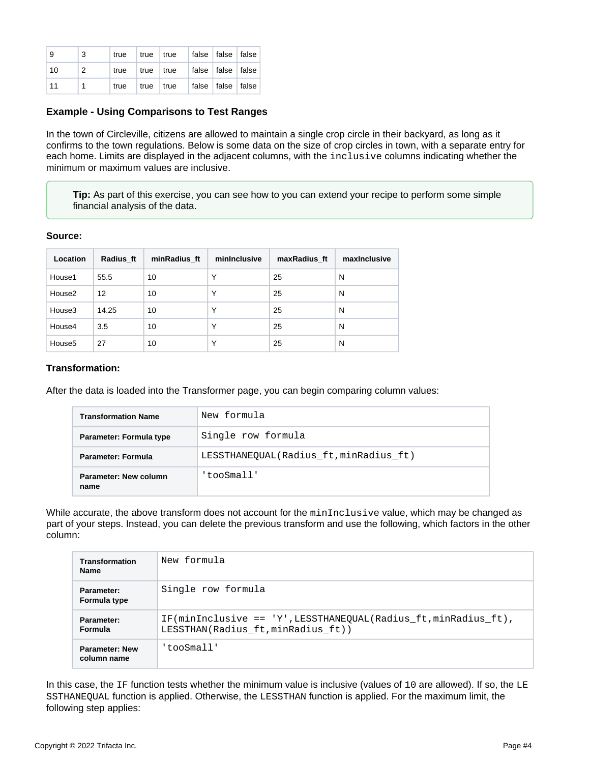| - 9 | - 3            |  | true   true   true   false   false   false |  |  |
|-----|----------------|--|--------------------------------------------|--|--|
| 10  | $\overline{2}$ |  | true   true   true   false   false   false |  |  |
| -11 |                |  | true   true   true   false   false   false |  |  |

## <span id="page-3-0"></span>**Example - Using Comparisons to Test Ranges**

In the town of Circleville, citizens are allowed to maintain a single crop circle in their backyard, as long as it confirms to the town regulations. Below is some data on the size of crop circles in town, with a separate entry for each home. Limits are displayed in the adjacent columns, with the inclusive columns indicating whether the minimum or maximum values are inclusive.

**Tip:** As part of this exercise, you can see how to you can extend your recipe to perform some simple financial analysis of the data.

#### **Source:**

| Location           | Radius ft | minRadius ft | minInclusive | maxRadius ft | maxinclusive |
|--------------------|-----------|--------------|--------------|--------------|--------------|
| House1             | 55.5      | 10           | Υ            | 25           | N            |
| House2             | 12        | 10           | Υ            | 25           | N            |
| House3             | 14.25     | 10           | Υ            | 25           | N            |
| House4             | 3.5       | 10           | Υ            | 25           | N            |
| House <sub>5</sub> | 27        | 10           | Υ            | 25           | N            |

#### **Transformation:**

After the data is loaded into the Transformer page, you can begin comparing column values:

| <b>Transformation Name</b>                                   | New formula        |  |  |  |
|--------------------------------------------------------------|--------------------|--|--|--|
| Parameter: Formula type                                      | Single row formula |  |  |  |
| LESSTHANEOUAL(Radius ft, minRadius ft)<br>Parameter: Formula |                    |  |  |  |
| Parameter: New column<br>name                                | 'tooSmall'         |  |  |  |

While accurate, the above transform does not account for the minInclusive value, which may be changed as part of your steps. Instead, you can delete the previous transform and use the following, which factors in the other column:

| Transformation<br><b>Name</b>        | New formula                                                                                                  |
|--------------------------------------|--------------------------------------------------------------------------------------------------------------|
| Parameter:<br>Formula type           | Single row formula                                                                                           |
| Parameter:<br><b>Formula</b>         | $IF(\text{minInclusive} == 'Y'.LESSTHANEOUAL(Radius ft.minRadius ft).$<br>LESSTHAN(Radius ft, minRadius ft)) |
| <b>Parameter: New</b><br>column name | 'tooSmall'                                                                                                   |

In this case, the IF function tests whether the minimum value is inclusive (values of 10 are allowed). If so, the LE SSTHANEQUAL function is applied. Otherwise, the LESSTHAN function is applied. For the maximum limit, the following step applies: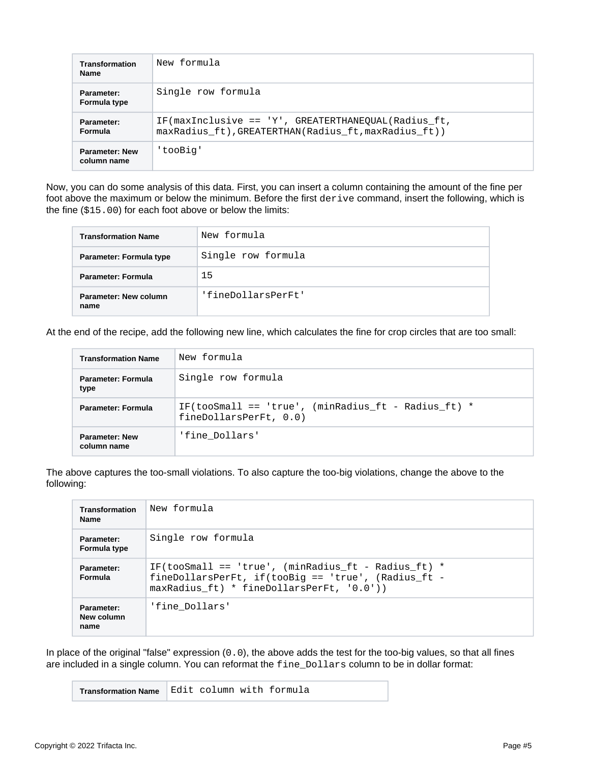| <b>Transformation</b><br><b>Name</b> | New formula                                                                                                 |  |
|--------------------------------------|-------------------------------------------------------------------------------------------------------------|--|
| Parameter:<br>Formula type           | Single row formula                                                                                          |  |
| Parameter:<br>Formula                | IF(maxInclusive == 'Y', GREATERTHANEOUAL(Radius ft,<br>maxRadius ft), GREATERTHAN(Radius ft, maxRadius ft)) |  |
| <b>Parameter: New</b><br>column name | 'tooBig'                                                                                                    |  |

Now, you can do some analysis of this data. First, you can insert a column containing the amount of the fine per foot above the maximum or below the minimum. Before the first derive command, insert the following, which is the fine (\$15.00) for each foot above or below the limits:

| <b>Transformation Name</b>    | New formula        |
|-------------------------------|--------------------|
| Parameter: Formula type       | Single row formula |
| Parameter: Formula            | 15                 |
| Parameter: New column<br>name | 'fineDollarsPerFt' |

At the end of the recipe, add the following new line, which calculates the fine for crop circles that are too small:

| <b>Transformation Name</b>           | New formula                                                                     |  |  |
|--------------------------------------|---------------------------------------------------------------------------------|--|--|
| <b>Parameter: Formula</b><br>type    | Single row formula                                                              |  |  |
| <b>Parameter: Formula</b>            | IF(tooSmall == 'true', (minRadius ft - Radius ft) $*$<br>fineDollarsPerFt, 0.0) |  |  |
| <b>Parameter: New</b><br>column name | 'fine Dollars'                                                                  |  |  |

The above captures the too-small violations. To also capture the too-big violations, change the above to the following:

| <b>Transformation</b><br><b>Name</b> | New formula                                                                                                                                                  |
|--------------------------------------|--------------------------------------------------------------------------------------------------------------------------------------------------------------|
| Parameter:<br>Formula type           | Single row formula                                                                                                                                           |
| Parameter:<br><b>Formula</b>         | IF(tooSmall == 'true', (minRadius ft - Radius ft) $*$<br>fineDollarsPerFt, $if(toobjg == 'true', (Radius_f t -$<br>maxRadius ft) * fineDollarsPerFt, '0.0')) |
| Parameter:<br>New column<br>name     | 'fine Dollars'                                                                                                                                               |

In place of the original "false" expression (0.0), the above adds the test for the too-big values, so that all fines are included in a single column. You can reformat the fine\_Dollars column to be in dollar format:

**Transformation Name** Edit column with formula